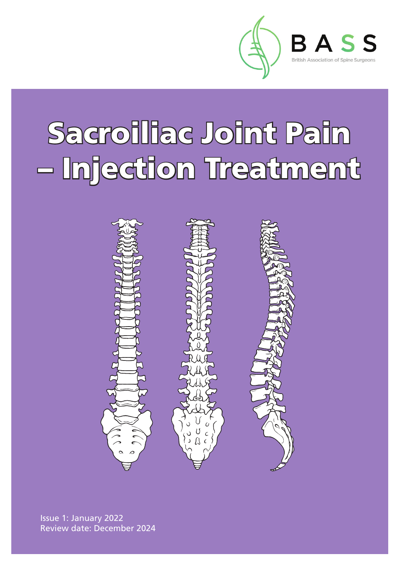

# Sacroiliac Joint Pain – Injection Treatment



Issue 1: January 2022 Review date: December 2024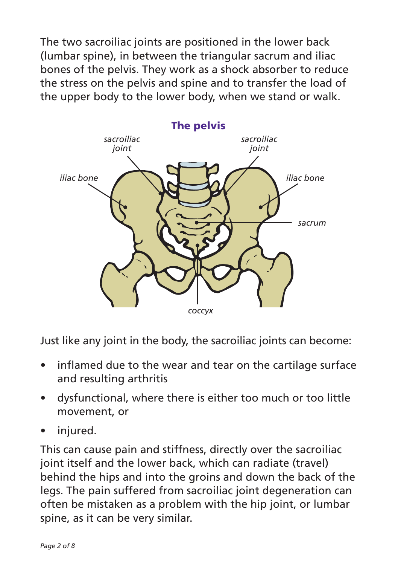The two sacroiliac joints are positioned in the lower back (lumbar spine), in between the triangular sacrum and iliac bones of the pelvis. They work as a shock absorber to reduce the stress on the pelvis and spine and to transfer the load of the upper body to the lower body, when we stand or walk.



Just like any joint in the body, the sacroiliac joints can become:

- inflamed due to the wear and tear on the cartilage surface and resulting arthritis
- dysfunctional, where there is either too much or too little movement, or
- injured.

This can cause pain and stiffness, directly over the sacroiliac joint itself and the lower back, which can radiate (travel) behind the hips and into the groins and down the back of the legs. The pain suffered from sacroiliac joint degeneration can often be mistaken as a problem with the hip joint, or lumbar spine, as it can be very similar.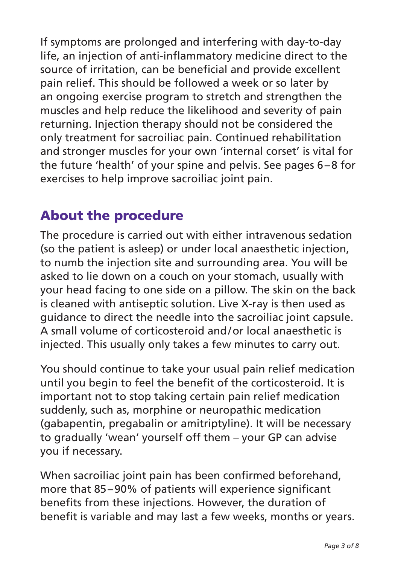If symptoms are prolonged and interfering with day-to-day life, an injection of anti-inflammatory medicine direct to the source of irritation, can be beneficial and provide excellent pain relief. This should be followed a week or so later by an ongoing exercise program to stretch and strengthen the muscles and help reduce the likelihood and severity of pain returning. Injection therapy should not be considered the only treatment for sacroiliac pain. Continued rehabilitation and stronger muscles for your own 'internal corset' is vital for the future 'health' of your spine and pelvis. See pages 6–8 for exercises to help improve sacroiliac joint pain.

### About the procedure

The procedure is carried out with either intravenous sedation (so the patient is asleep) or under local anaesthetic injection, to numb the injection site and surrounding area. You will be asked to lie down on a couch on your stomach, usually with your head facing to one side on a pillow. The skin on the back is cleaned with antiseptic solution. Live X-ray is then used as guidance to direct the needle into the sacroiliac joint capsule. A small volume of corticosteroid and/or local anaesthetic is injected. This usually only takes a few minutes to carry out.

You should continue to take your usual pain relief medication until you begin to feel the benefit of the corticosteroid. It is important not to stop taking certain pain relief medication suddenly, such as, morphine or neuropathic medication (gabapentin, pregabalin or amitriptyline). It will be necessary to gradually 'wean' yourself off them – your GP can advise you if necessary.

When sacroiliac joint pain has been confirmed beforehand, more that 85–90% of patients will experience significant benefits from these injections. However, the duration of benefit is variable and may last a few weeks, months or years.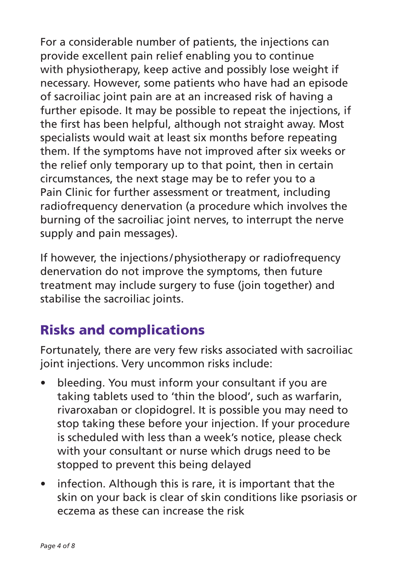For a considerable number of patients, the injections can provide excellent pain relief enabling you to continue with physiotherapy, keep active and possibly lose weight if necessary. However, some patients who have had an episode of sacroiliac joint pain are at an increased risk of having a further episode. It may be possible to repeat the injections, if the first has been helpful, although not straight away. Most specialists would wait at least six months before repeating them. If the symptoms have not improved after six weeks or the relief only temporary up to that point, then in certain circumstances, the next stage may be to refer you to a Pain Clinic for further assessment or treatment, including radiofrequency denervation (a procedure which involves the burning of the sacroiliac joint nerves, to interrupt the nerve supply and pain messages).

If however, the injections/physiotherapy or radiofrequency denervation do not improve the symptoms, then future treatment may include surgery to fuse (join together) and stabilise the sacroiliac joints.

## Risks and complications

Fortunately, there are very few risks associated with sacroiliac joint injections. Very uncommon risks include:

- bleeding. You must inform your consultant if you are taking tablets used to 'thin the blood', such as warfarin, rivaroxaban or clopidogrel. It is possible you may need to stop taking these before your injection. If your procedure is scheduled with less than a week's notice, please check with your consultant or nurse which drugs need to be stopped to prevent this being delayed
- infection. Although this is rare, it is important that the skin on your back is clear of skin conditions like psoriasis or eczema as these can increase the risk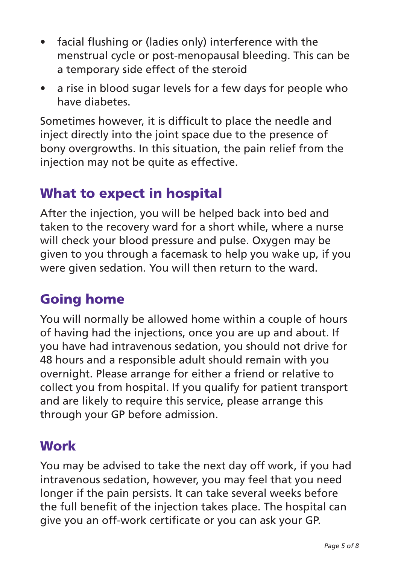- facial flushing or (ladies only) interference with the menstrual cycle or post-menopausal bleeding. This can be a temporary side effect of the steroid
- a rise in blood sugar levels for a few days for people who have diabetes.

Sometimes however, it is difficult to place the needle and inject directly into the joint space due to the presence of bony overgrowths. In this situation, the pain relief from the injection may not be quite as effective.

#### What to expect in hospital

After the injection, you will be helped back into bed and taken to the recovery ward for a short while, where a nurse will check your blood pressure and pulse. Oxygen may be given to you through a facemask to help you wake up, if you were given sedation. You will then return to the ward.

### Going home

You will normally be allowed home within a couple of hours of having had the injections, once you are up and about. If you have had intravenous sedation, you should not drive for 48 hours and a responsible adult should remain with you overnight. Please arrange for either a friend or relative to collect you from hospital. If you qualify for patient transport and are likely to require this service, please arrange this through your GP before admission.

### **Work**

You may be advised to take the next day off work, if you had intravenous sedation, however, you may feel that you need longer if the pain persists. It can take several weeks before the full benefit of the injection takes place. The hospital can give you an off-work certificate or you can ask your GP.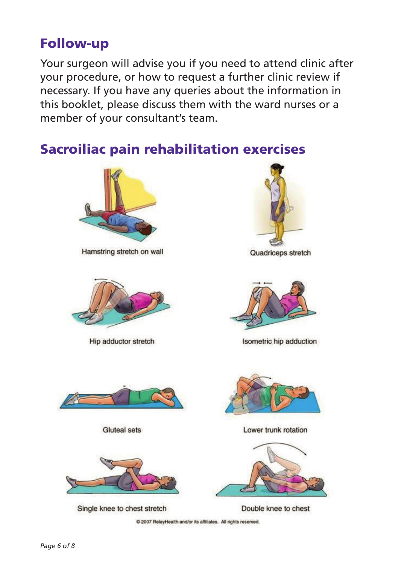#### Follow-up

Your surgeon will advise you if you need to attend clinic after your procedure, or how to request a further clinic review if necessary. If you have any queries about the information in this booklet, please discuss them with the ward nurses or a member of your consultant's team.

### Sacroiliac pain rehabilitation exercises



Hamstring stretch on wall



Hip adductor stretch



Quadriceps stretch



Isometric hip adduction



Gluteal sets



Single knee to chest stretch



Lower trunk rotation



Double knee to chest

C 2007 RelayHealth and/or its affiliates. All rights reserved.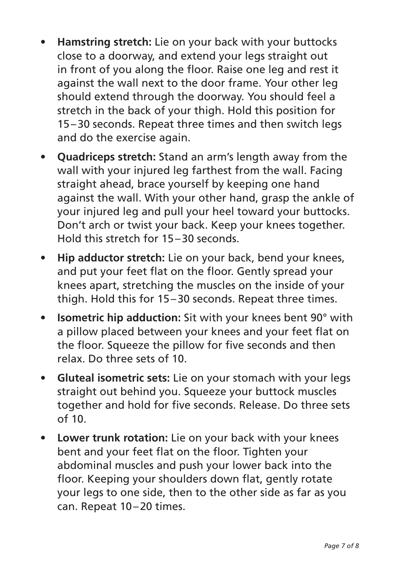- **Hamstring stretch:** Lie on your back with your buttocks close to a doorway, and extend your legs straight out in front of you along the floor. Raise one leg and rest it against the wall next to the door frame. Your other leg should extend through the doorway. You should feel a stretch in the back of your thigh. Hold this position for 15–30 seconds. Repeat three times and then switch legs and do the exercise again.
- **Quadriceps stretch:** Stand an arm's length away from the wall with your injured leg farthest from the wall. Facing straight ahead, brace yourself by keeping one hand against the wall. With your other hand, grasp the ankle of your injured leg and pull your heel toward your buttocks. Don't arch or twist your back. Keep your knees together. Hold this stretch for 15–30 seconds.
- **Hip adductor stretch:** Lie on your back, bend your knees, and put your feet flat on the floor. Gently spread your knees apart, stretching the muscles on the inside of your thigh. Hold this for 15–30 seconds. Repeat three times.
- **Isometric hip adduction:** Sit with your knees bent 90° with a pillow placed between your knees and your feet flat on the floor. Squeeze the pillow for five seconds and then relax. Do three sets of 10.
- **Gluteal isometric sets:** Lie on your stomach with your legs straight out behind you. Squeeze your buttock muscles together and hold for five seconds. Release. Do three sets  $of 10.$
- **Lower trunk rotation:** Lie on your back with your knees bent and your feet flat on the floor. Tighten your abdominal muscles and push your lower back into the floor. Keeping your shoulders down flat, gently rotate your legs to one side, then to the other side as far as you can. Repeat 10–20 times.